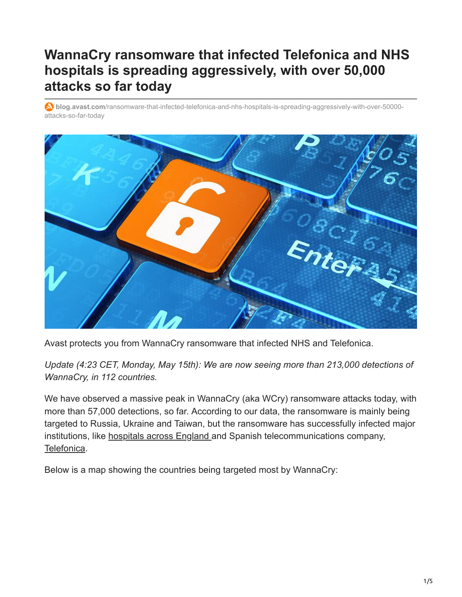## **WannaCry ransomware that infected Telefonica and NHS hospitals is spreading aggressively, with over 50,000 attacks so far today**

**blog.avast.com**[/ransomware-that-infected-telefonica-and-nhs-hospitals-is-spreading-aggressively-with-over-50000](https://blog.avast.com/ransomware-that-infected-telefonica-and-nhs-hospitals-is-spreading-aggressively-with-over-50000-attacks-so-far-today) attacks-so-far-today



Avast protects you from WannaCry ransomware that infected NHS and Telefonica.

*Update (4:23 CET, Monday, May 15th): We are now seeing more than 213,000 detections of WannaCry, in 112 countries.*

We have observed a massive peak in WannaCry (aka WCry) ransomware attacks today, with more than 57,000 detections, so far. According to our data, the ransomware is mainly being targeted to Russia, Ukraine and Taiwan, but the ransomware has successfully infected major institutions, like [hospitals across England](https://www.theguardian.com/society/2017/may/12/hospitals-across-england-hit-by-large-scale-cyber-attack) and Spanish telecommunications company, [Telefonica](http://uk.reuters.com/article/uk-spain-cyber-idUKKBN1881TI).

Below is a map showing the countries being targeted most by WannaCry: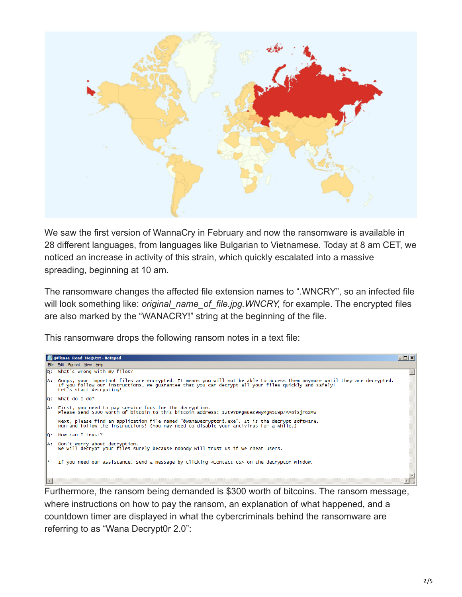

We saw the first version of WannaCry in February and now the ransomware is available in 28 different languages, from languages like Bulgarian to Vietnamese. Today at 8 am CET, we noticed an increase in activity of this strain, which quickly escalated into a massive spreading, beginning at 10 am.

The ransomware changes the affected file extension names to ".WNCRY", so an infected file will look something like: *original name of file.jpg.WNCRY*, for example. The encrypted files are also marked by the "WANACRY!" string at the beginning of the file.

This ransomware drops the following ransom notes in a text file:



Furthermore, the ransom being demanded is \$300 worth of bitcoins. The ransom message, where instructions on how to pay the ransom, an explanation of what happened, and a countdown timer are displayed in what the cybercriminals behind the ransomware are referring to as "Wana Decrypt0r 2.0":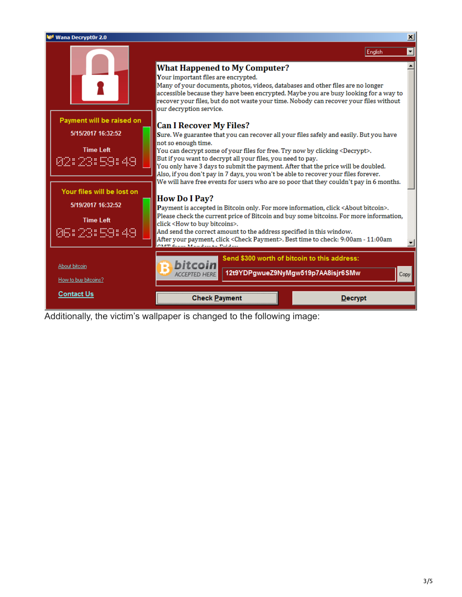

Additionally, the victim's wallpaper is changed to the following image: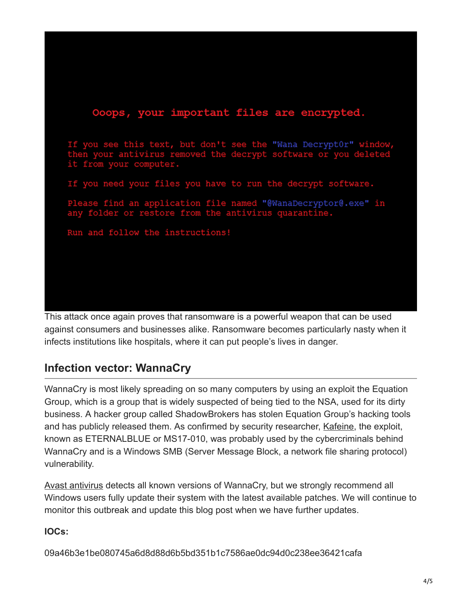## Ooops, your important files are encrypted. you see this text, but don't see the "Wana Decrypt0r" window, irus removed the decrypt software or you deleted it from your computer. If you need your files you have to run the decrypt software. Please find an application file named "@WanaDecryptor@.exe" in any folder or restore from the antivirus quarantine. Run and follow the instructions!

This attack once again proves that ransomware is a powerful weapon that can be used against consumers and businesses alike. Ransomware becomes particularly nasty when it infects institutions like hospitals, where it can put people's lives in danger.

## **Infection vector: WannaCry**

WannaCry is most likely spreading on so many computers by using an exploit the Equation Group, which is a group that is widely suspected of being tied to the NSA, used for its dirty business. A hacker group called ShadowBrokers has stolen Equation Group's hacking tools and has publicly released them. As confirmed by security researcher, [Kafeine,](https://twitter.com/kafeine/status/863049739583016960) the exploit, known as ETERNALBLUE or MS17-010, was probably used by the cybercriminals behind WannaCry and is a Windows SMB (Server Message Block, a network file sharing protocol) vulnerability.

[Avast antivirus](https://www.avast.com/free-antivirus-download) detects all known versions of WannaCry, but we strongly recommend all Windows users fully update their system with the latest available patches. We will continue to monitor this outbreak and update this blog post when we have further updates.

## **IOCs:**

09a46b3e1be080745a6d8d88d6b5bd351b1c7586ae0dc94d0c238ee36421cafa